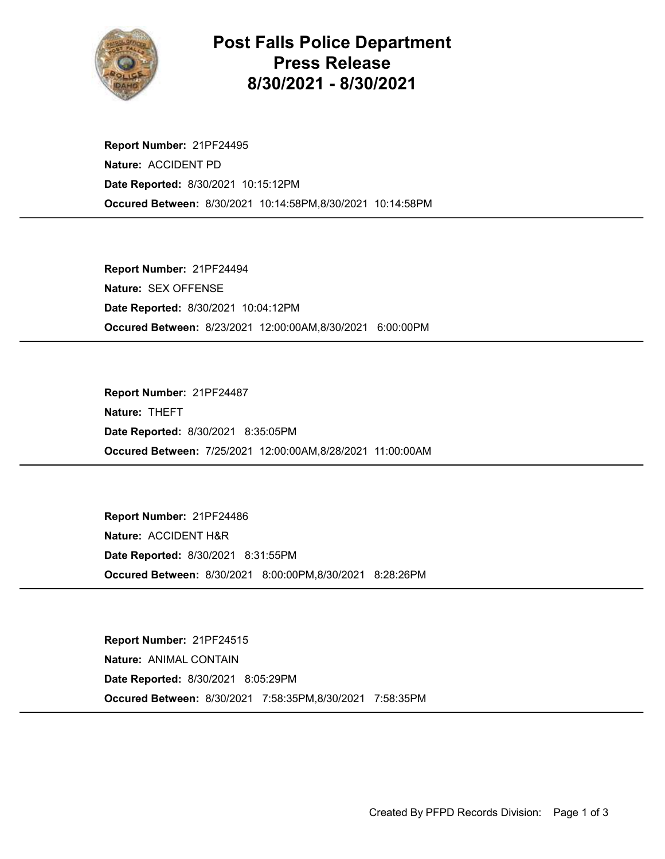

## Post Falls Police Department Press Release 8/30/2021 - 8/30/2021

Occured Between: 8/30/2021 10:14:58PM,8/30/2021 10:14:58PM Report Number: 21PF24495 Nature: ACCIDENT PD Date Reported: 8/30/2021 10:15:12PM

Occured Between: 8/23/2021 12:00:00AM,8/30/2021 6:00:00PM Report Number: 21PF24494 Nature: SEX OFFENSE Date Reported: 8/30/2021 10:04:12PM

Occured Between: 7/25/2021 12:00:00AM,8/28/2021 11:00:00AM Report Number: 21PF24487 Nature: THEFT Date Reported: 8/30/2021 8:35:05PM

Occured Between: 8/30/2021 8:00:00PM,8/30/2021 8:28:26PM Report Number: 21PF24486 Nature: ACCIDENT H&R Date Reported: 8/30/2021 8:31:55PM

Occured Between: 8/30/2021 7:58:35PM,8/30/2021 7:58:35PM Report Number: 21PF24515 Nature: ANIMAL CONTAIN Date Reported: 8/30/2021 8:05:29PM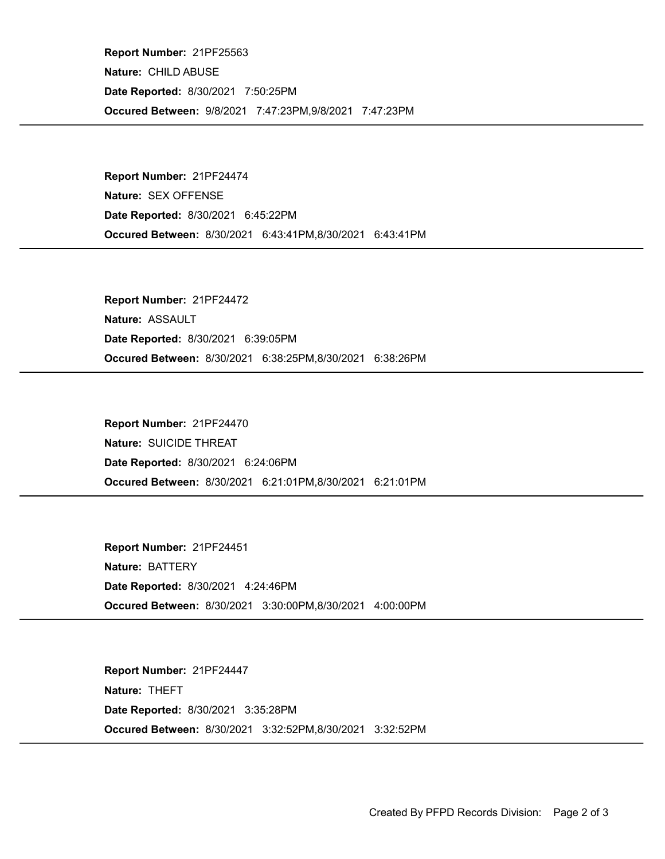Occured Between: 9/8/2021 7:47:23PM,9/8/2021 7:47:23PM Report Number: 21PF25563 Nature: CHILD ABUSE Date Reported: 8/30/2021 7:50:25PM

Occured Between: 8/30/2021 6:43:41PM,8/30/2021 6:43:41PM Report Number: 21PF24474 Nature: SEX OFFENSE Date Reported: 8/30/2021 6:45:22PM

Occured Between: 8/30/2021 6:38:25PM,8/30/2021 6:38:26PM Report Number: 21PF24472 Nature: ASSAULT Date Reported: 8/30/2021 6:39:05PM

Occured Between: 8/30/2021 6:21:01PM,8/30/2021 6:21:01PM Report Number: 21PF24470 Nature: SUICIDE THREAT Date Reported: 8/30/2021 6:24:06PM

Occured Between: 8/30/2021 3:30:00PM,8/30/2021 4:00:00PM Report Number: 21PF24451 Nature: BATTERY Date Reported: 8/30/2021 4:24:46PM

Occured Between: 8/30/2021 3:32:52PM,8/30/2021 3:32:52PM Report Number: 21PF24447 Nature: THEFT Date Reported: 8/30/2021 3:35:28PM